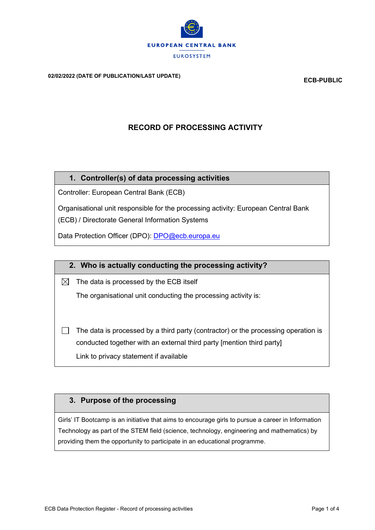

**02/02/2022 (DATE OF PUBLICATION/LAST UPDATE) ECB-PUBLIC**

# **RECORD OF PROCESSING ACTIVITY**

#### **1. Controller(s) of data processing activities**

Controller: European Central Bank (ECB)

Organisational unit responsible for the processing activity: European Central Bank

(ECB) / Directorate General Information Systems

Data Protection Officer (DPO): [DPO@ecb.europa.eu](mailto:DPO@ecb.europa.eu)

## **2. Who is actually conducting the processing activity?**

 $\boxtimes$  The data is processed by the ECB itself

The organisational unit conducting the processing activity is:

П The data is processed by a third party (contractor) or the processing operation is conducted together with an external third party [mention third party] Link to privacy statement if available

## **3. Purpose of the processing**

Girls' IT Bootcamp is an initiative that aims to encourage girls to pursue a career in Information Technology as part of the STEM field (science, technology, engineering and mathematics) by providing them the opportunity to participate in an educational programme.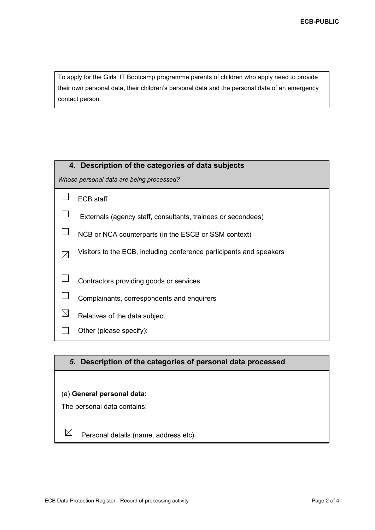To apply for the Girls' IT Bootcamp programme parents of children who apply need to provide their own personal data, their children's personal data and the personal data of an emergency contact person.

| 4. Description of the categories of data subjects |                                                                     |  |  |  |
|---------------------------------------------------|---------------------------------------------------------------------|--|--|--|
| Whose personal data are being processed?          |                                                                     |  |  |  |
|                                                   | <b>ECB</b> staff                                                    |  |  |  |
|                                                   | Externals (agency staff, consultants, trainees or secondees)        |  |  |  |
|                                                   | NCB or NCA counterparts (in the ESCB or SSM context)                |  |  |  |
| $\boxtimes$                                       | Visitors to the ECB, including conference participants and speakers |  |  |  |
|                                                   | Contractors providing goods or services                             |  |  |  |
|                                                   | Complainants, correspondents and enquirers                          |  |  |  |
|                                                   | Relatives of the data subject                                       |  |  |  |
|                                                   | Other (please specify):                                             |  |  |  |
|                                                   |                                                                     |  |  |  |

## *5.* **Description of the categories of personal data processed**

#### (a) **General personal data:**

The personal data contains:

 $\boxtimes$ Personal details (name, address etc)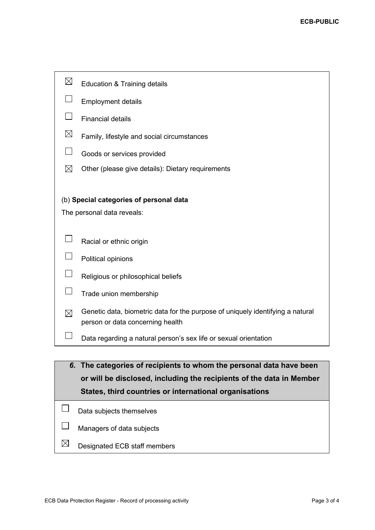| $\boxtimes$                                            | Education & Training details                                                                                       |  |  |  |
|--------------------------------------------------------|--------------------------------------------------------------------------------------------------------------------|--|--|--|
| $\Box$                                                 | <b>Employment details</b>                                                                                          |  |  |  |
|                                                        | <b>Financial details</b>                                                                                           |  |  |  |
| $\boxtimes$                                            | Family, lifestyle and social circumstances                                                                         |  |  |  |
| $\overline{\phantom{a}}$                               | Goods or services provided                                                                                         |  |  |  |
| $\boxtimes$                                            | Other (please give details): Dietary requirements                                                                  |  |  |  |
|                                                        | (b) Special categories of personal data                                                                            |  |  |  |
| The personal data reveals:                             |                                                                                                                    |  |  |  |
|                                                        |                                                                                                                    |  |  |  |
| $\mathsf{L}$                                           | Racial or ethnic origin                                                                                            |  |  |  |
|                                                        | Political opinions                                                                                                 |  |  |  |
| $\Box$                                                 | Religious or philosophical beliefs                                                                                 |  |  |  |
| $\Box$                                                 | Trade union membership                                                                                             |  |  |  |
| $\boxtimes$                                            | Genetic data, biometric data for the purpose of uniquely identifying a natural<br>person or data concerning health |  |  |  |
| $\mathcal{L}$                                          | Data regarding a natural person's sex life or sexual orientation                                                   |  |  |  |
|                                                        |                                                                                                                    |  |  |  |
|                                                        | 6. The categories of recipients to whom the personal data have been                                                |  |  |  |
|                                                        | or will be disclosed, including the recipients of the data in Member                                               |  |  |  |
| States, third countries or international organisations |                                                                                                                    |  |  |  |
|                                                        | Data subjects themselves                                                                                           |  |  |  |
|                                                        | Managers of data subjects                                                                                          |  |  |  |

 $\boxtimes$ Designated ECB staff members